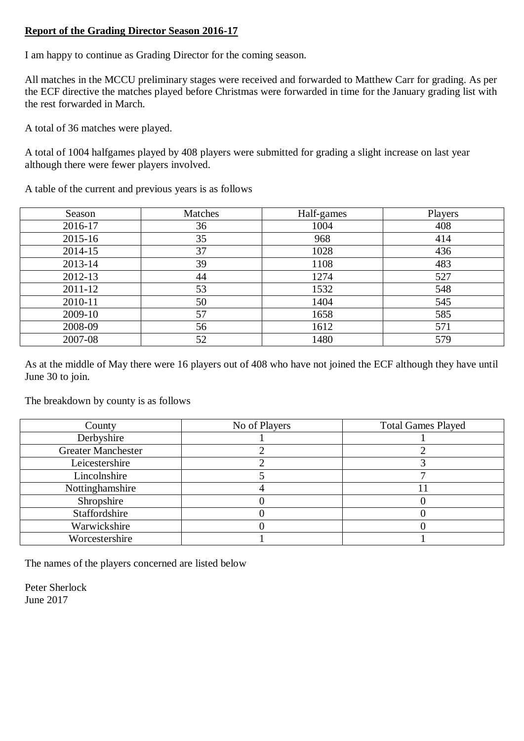## **Report of the Grading Director Season 2016-17**

I am happy to continue as Grading Director for the coming season.

All matches in the MCCU preliminary stages were received and forwarded to Matthew Carr for grading. As per the ECF directive the matches played before Christmas were forwarded in time for the January grading list with the rest forwarded in March.

A total of 36 matches were played.

A total of 1004 halfgames played by 408 players were submitted for grading a slight increase on last year although there were fewer players involved.

A table of the current and previous years is as follows

| Season  | Matches | Half-games | Players |
|---------|---------|------------|---------|
| 2016-17 | 36      | 1004       | 408     |
| 2015-16 | 35      | 968        | 414     |
| 2014-15 | 37      | 1028       | 436     |
| 2013-14 | 39      | 1108       | 483     |
| 2012-13 | 44      | 1274       | 527     |
| 2011-12 | 53      | 1532       | 548     |
| 2010-11 | 50      | 1404       | 545     |
| 2009-10 | 57      | 1658       | 585     |
| 2008-09 | 56      | 1612       | 571     |
| 2007-08 | 52      | 1480       | 579     |

As at the middle of May there were 16 players out of 408 who have not joined the ECF although they have until June 30 to join.

The breakdown by county is as follows

| County                    | No of Players | <b>Total Games Played</b> |
|---------------------------|---------------|---------------------------|
| Derbyshire                |               |                           |
| <b>Greater Manchester</b> |               |                           |
| Leicestershire            |               |                           |
| Lincolnshire              |               |                           |
| Nottinghamshire           |               |                           |
| Shropshire                |               |                           |
| Staffordshire             |               |                           |
| Warwickshire              |               |                           |
| Worcestershire            |               |                           |

The names of the players concerned are listed below

Peter Sherlock June 2017